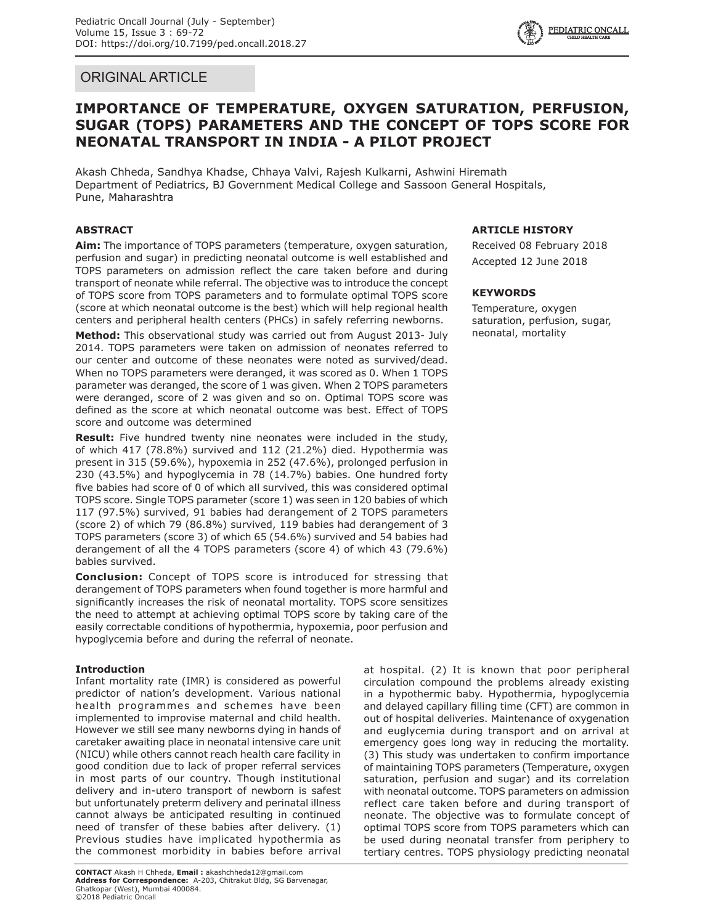# ORIGINAL ARTICLE



# **IMPORTANCE OF TEMPERATURE, OXYGEN SATURATION, PERFUSION, SUGAR (TOPS) PARAMETERS AND THE CONCEPT OF TOPS SCORE FOR NEONATAL TRANSPORT IN INDIA - A PILOT PROJECT**

Akash Chheda, Sandhya Khadse, Chhaya Valvi, Rajesh Kulkarni, Ashwini Hiremath Department of Pediatrics, BJ Government Medical College and Sassoon General Hospitals, Pune, Maharashtra

# **ABSTRACT**

**Aim:** The importance of TOPS parameters (temperature, oxygen saturation, perfusion and sugar) in predicting neonatal outcome is well established and TOPS parameters on admission reflect the care taken before and during transport of neonate while referral. The objective was to introduce the concept of TOPS score from TOPS parameters and to formulate optimal TOPS score (score at which neonatal outcome is the best) which will help regional health centers and peripheral health centers (PHCs) in safely referring newborns.

**Method:** This observational study was carried out from August 2013- July 2014. TOPS parameters were taken on admission of neonates referred to our center and outcome of these neonates were noted as survived/dead. When no TOPS parameters were deranged, it was scored as 0. When 1 TOPS parameter was deranged, the score of 1 was given. When 2 TOPS parameters were deranged, score of 2 was given and so on. Optimal TOPS score was defined as the score at which neonatal outcome was best. Effect of TOPS score and outcome was determined

**Result:** Five hundred twenty nine neonates were included in the study, of which 417 (78.8%) survived and 112 (21.2%) died. Hypothermia was present in 315 (59.6%), hypoxemia in 252 (47.6%), prolonged perfusion in 230 (43.5%) and hypoglycemia in 78 (14.7%) babies. One hundred forty five babies had score of 0 of which all survived, this was considered optimal TOPS score. Single TOPS parameter (score 1) was seen in 120 babies of which 117 (97.5%) survived, 91 babies had derangement of 2 TOPS parameters (score 2) of which 79 (86.8%) survived, 119 babies had derangement of 3 TOPS parameters (score 3) of which 65 (54.6%) survived and 54 babies had derangement of all the 4 TOPS parameters (score 4) of which 43 (79.6%) babies survived.

**Conclusion:** Concept of TOPS score is introduced for stressing that derangement of TOPS parameters when found together is more harmful and significantly increases the risk of neonatal mortality. TOPS score sensitizes the need to attempt at achieving optimal TOPS score by taking care of the easily correctable conditions of hypothermia, hypoxemia, poor perfusion and hypoglycemia before and during the referral of neonate.

# **Introduction**

Infant mortality rate (IMR) is considered as powerful predictor of nation's development. Various national health programmes and schemes have been implemented to improvise maternal and child health. However we still see many newborns dying in hands of caretaker awaiting place in neonatal intensive care unit (NICU) while others cannot reach health care facility in good condition due to lack of proper referral services in most parts of our country. Though institutional delivery and in-utero transport of newborn is safest but unfortunately preterm delivery and perinatal illness cannot always be anticipated resulting in continued need of transfer of these babies after delivery. (1) Previous studies have implicated hypothermia as the commonest morbidity in babies before arrival

## **ARTICLE HISTORY**

Received 08 February 2018 Accepted 12 June 2018

## **KEYWORDS**

Temperature, oxygen saturation, perfusion, sugar, neonatal, mortality

at hospital. (2) It is known that poor peripheral circulation compound the problems already existing in a hypothermic baby. Hypothermia, hypoglycemia and delayed capillary filling time (CFT) are common in out of hospital deliveries. Maintenance of oxygenation and euglycemia during transport and on arrival at emergency goes long way in reducing the mortality. (3) This study was undertaken to confirm importance of maintaining TOPS parameters (Temperature, oxygen saturation, perfusion and sugar) and its correlation with neonatal outcome. TOPS parameters on admission reflect care taken before and during transport of neonate. The objective was to formulate concept of optimal TOPS score from TOPS parameters which can be used during neonatal transfer from periphery to tertiary centres. TOPS physiology predicting neonatal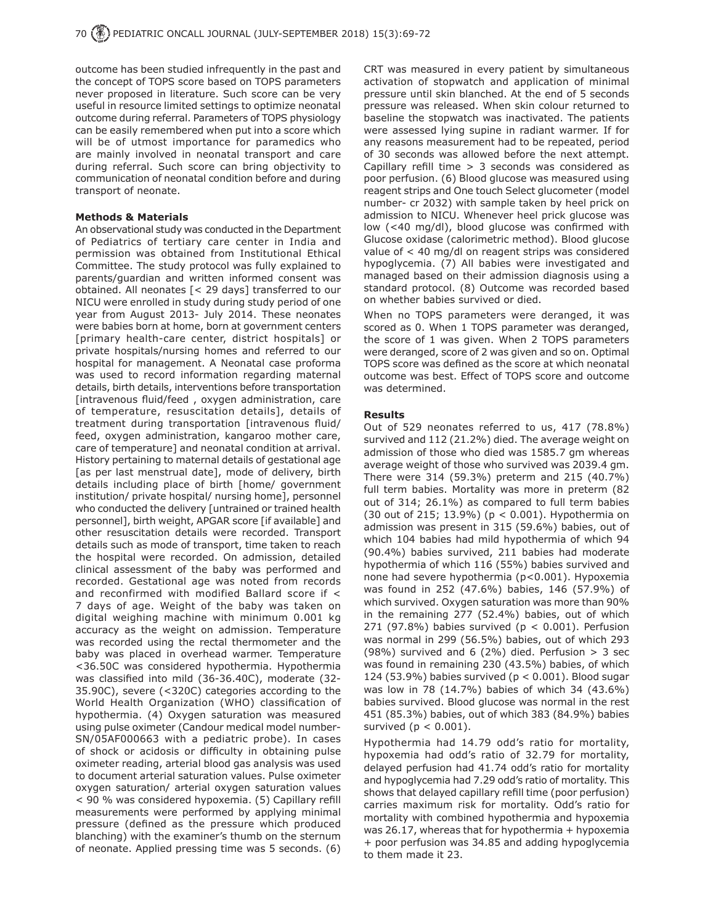outcome has been studied infrequently in the past and the concept of TOPS score based on TOPS parameters never proposed in literature. Such score can be very useful in resource limited settings to optimize neonatal outcome during referral. Parameters of TOPS physiology can be easily remembered when put into a score which will be of utmost importance for paramedics who are mainly involved in neonatal transport and care during referral. Such score can bring objectivity to communication of neonatal condition before and during transport of neonate.

#### **Methods & Materials**

An observational study was conducted in the Department of Pediatrics of tertiary care center in India and permission was obtained from Institutional Ethical Committee. The study protocol was fully explained to parents/guardian and written informed consent was obtained. All neonates [< 29 days] transferred to our NICU were enrolled in study during study period of one year from August 2013- July 2014. These neonates were babies born at home, born at government centers [primary health-care center, district hospitals] or private hospitals/nursing homes and referred to our hospital for management. A Neonatal case proforma was used to record information regarding maternal details, birth details, interventions before transportation [intravenous fluid/feed , oxygen administration, care of temperature, resuscitation details], details of treatment during transportation [intravenous fluid/ feed, oxygen administration, kangaroo mother care, care of temperature] and neonatal condition at arrival. History pertaining to maternal details of gestational age [as per last menstrual date], mode of delivery, birth details including place of birth [home/ government institution/ private hospital/ nursing home], personnel who conducted the delivery [untrained or trained health personnel], birth weight, APGAR score [if available] and other resuscitation details were recorded. Transport details such as mode of transport, time taken to reach the hospital were recorded. On admission, detailed clinical assessment of the baby was performed and recorded. Gestational age was noted from records and reconfirmed with modified Ballard score if < 7 days of age. Weight of the baby was taken on digital weighing machine with minimum 0.001 kg accuracy as the weight on admission. Temperature was recorded using the rectal thermometer and the baby was placed in overhead warmer. Temperature <36.50C was considered hypothermia. Hypothermia was classified into mild (36-36.40C), moderate (32- 35.90C), severe (<320C) categories according to the World Health Organization (WHO) classification of hypothermia. (4) Oxygen saturation was measured using pulse oximeter (Candour medical model number-SN/05AF000663 with a pediatric probe). In cases of shock or acidosis or difficulty in obtaining pulse oximeter reading, arterial blood gas analysis was used to document arterial saturation values. Pulse oximeter oxygen saturation/ arterial oxygen saturation values < 90 % was considered hypoxemia. (5) Capillary refill measurements were performed by applying minimal pressure (defined as the pressure which produced blanching) with the examiner's thumb on the sternum of neonate. Applied pressing time was 5 seconds. (6)

CRT was measured in every patient by simultaneous activation of stopwatch and application of minimal pressure until skin blanched. At the end of 5 seconds pressure was released. When skin colour returned to baseline the stopwatch was inactivated. The patients were assessed lying supine in radiant warmer. If for any reasons measurement had to be repeated, period of 30 seconds was allowed before the next attempt. Capillary refill time > 3 seconds was considered as poor perfusion. (6) Blood glucose was measured using reagent strips and One touch Select glucometer (model number- cr 2032) with sample taken by heel prick on admission to NICU. Whenever heel prick glucose was low (<40 mg/dl), blood glucose was confirmed with Glucose oxidase (calorimetric method). Blood glucose value of < 40 mg/dl on reagent strips was considered hypoglycemia. (7) All babies were investigated and managed based on their admission diagnosis using a standard protocol. (8) Outcome was recorded based on whether babies survived or died.

When no TOPS parameters were deranged, it was scored as 0. When 1 TOPS parameter was deranged, the score of 1 was given. When 2 TOPS parameters were deranged, score of 2 was given and so on. Optimal TOPS score was defined as the score at which neonatal outcome was best. Effect of TOPS score and outcome was determined.

#### **Results**

Out of 529 neonates referred to us, 417 (78.8%) survived and 112 (21.2%) died. The average weight on admission of those who died was 1585.7 gm whereas average weight of those who survived was 2039.4 gm. There were 314 (59.3%) preterm and 215 (40.7%) full term babies. Mortality was more in preterm (82 out of 314; 26.1%) as compared to full term babies (30 out of 215; 13.9%) (p < 0.001). Hypothermia on admission was present in 315 (59.6%) babies, out of which 104 babies had mild hypothermia of which 94 (90.4%) babies survived, 211 babies had moderate hypothermia of which 116 (55%) babies survived and none had severe hypothermia (p<0.001). Hypoxemia was found in 252 (47.6%) babies, 146 (57.9%) of which survived. Oxygen saturation was more than 90% in the remaining 277 (52.4%) babies, out of which 271 (97.8%) babies survived ( $p < 0.001$ ). Perfusion was normal in 299 (56.5%) babies, out of which 293 (98%) survived and 6 (2%) died. Perfusion  $> 3$  sec was found in remaining 230 (43.5%) babies, of which 124 (53.9%) babies survived ( $p < 0.001$ ). Blood sugar was low in 78 (14.7%) babies of which 34 (43.6%) babies survived. Blood glucose was normal in the rest 451 (85.3%) babies, out of which 383 (84.9%) babies survived ( $p < 0.001$ ).

Hypothermia had 14.79 odd's ratio for mortality, hypoxemia had odd's ratio of 32.79 for mortality, delayed perfusion had 41.74 odd's ratio for mortality and hypoglycemia had 7.29 odd's ratio of mortality. This shows that delayed capillary refill time (poor perfusion) carries maximum risk for mortality. Odd's ratio for mortality with combined hypothermia and hypoxemia was 26.17, whereas that for hypothermia + hypoxemia + poor perfusion was 34.85 and adding hypoglycemia to them made it 23.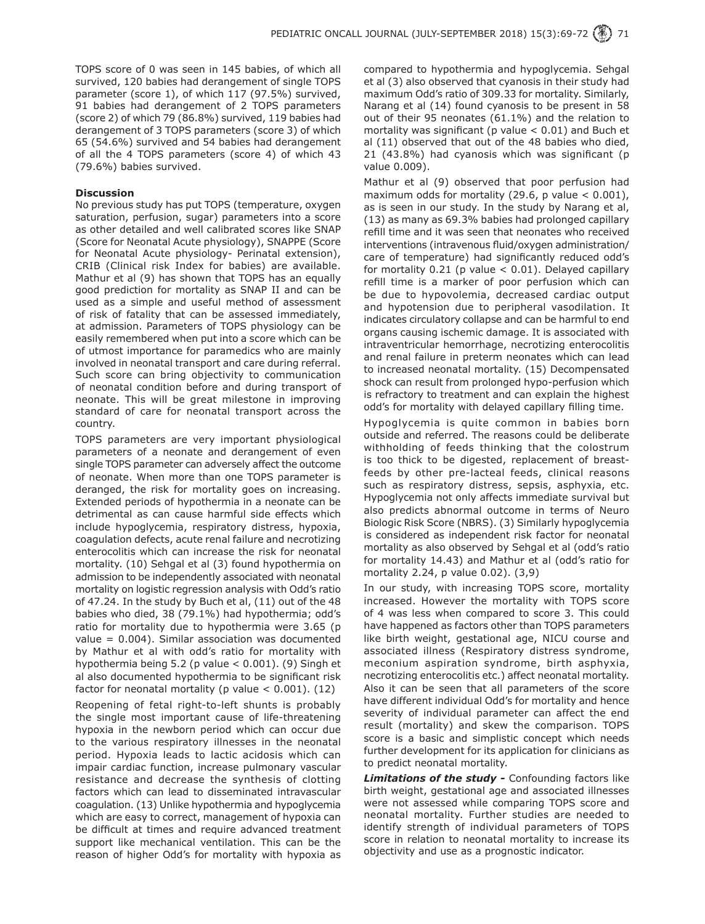TOPS score of 0 was seen in 145 babies, of which all survived, 120 babies had derangement of single TOPS parameter (score 1), of which 117 (97.5%) survived, 91 babies had derangement of 2 TOPS parameters (score 2) of which 79 (86.8%) survived, 119 babies had derangement of 3 TOPS parameters (score 3) of which 65 (54.6%) survived and 54 babies had derangement of all the 4 TOPS parameters (score 4) of which 43 (79.6%) babies survived.

## **Discussion**

No previous study has put TOPS (temperature, oxygen saturation, perfusion, sugar) parameters into a score as other detailed and well calibrated scores like SNAP (Score for Neonatal Acute physiology), SNAPPE (Score for Neonatal Acute physiology- Perinatal extension), CRIB (Clinical risk Index for babies) are available. Mathur et al (9) has shown that TOPS has an equally good prediction for mortality as SNAP II and can be used as a simple and useful method of assessment of risk of fatality that can be assessed immediately, at admission. Parameters of TOPS physiology can be easily remembered when put into a score which can be of utmost importance for paramedics who are mainly involved in neonatal transport and care during referral. Such score can bring objectivity to communication of neonatal condition before and during transport of neonate. This will be great milestone in improving standard of care for neonatal transport across the country.

TOPS parameters are very important physiological parameters of a neonate and derangement of even single TOPS parameter can adversely affect the outcome of neonate. When more than one TOPS parameter is deranged, the risk for mortality goes on increasing. Extended periods of hypothermia in a neonate can be detrimental as can cause harmful side effects which include hypoglycemia, respiratory distress, hypoxia, coagulation defects, acute renal failure and necrotizing enterocolitis which can increase the risk for neonatal mortality. (10) Sehgal et al (3) found hypothermia on admission to be independently associated with neonatal mortality on logistic regression analysis with Odd's ratio of 47.24. In the study by Buch et al, (11) out of the 48 babies who died, 38 (79.1%) had hypothermia; odd's ratio for mortality due to hypothermia were 3.65 (p value  $= 0.004$ ). Similar association was documented by Mathur et al with odd's ratio for mortality with hypothermia being  $5.2$  (p value  $< 0.001$ ). (9) Singh et al also documented hypothermia to be significant risk factor for neonatal mortality (p value  $< 0.001$ ). (12)

Reopening of fetal right-to-left shunts is probably the single most important cause of life-threatening hypoxia in the newborn period which can occur due to the various respiratory illnesses in the neonatal period. Hypoxia leads to lactic acidosis which can impair cardiac function, increase pulmonary vascular resistance and decrease the synthesis of clotting factors which can lead to disseminated intravascular coagulation. (13) Unlike hypothermia and hypoglycemia which are easy to correct, management of hypoxia can be difficult at times and require advanced treatment support like mechanical ventilation. This can be the reason of higher Odd's for mortality with hypoxia as compared to hypothermia and hypoglycemia. Sehgal et al (3) also observed that cyanosis in their study had maximum Odd's ratio of 309.33 for mortality. Similarly, Narang et al (14) found cyanosis to be present in 58 out of their 95 neonates (61.1%) and the relation to mortality was significant (p value < 0.01) and Buch et al (11) observed that out of the 48 babies who died, 21 (43.8%) had cyanosis which was significant (p value 0.009).

Mathur et al (9) observed that poor perfusion had maximum odds for mortality (29.6, p value  $< 0.001$ ), as is seen in our study. In the study by Narang et al, (13) as many as 69.3% babies had prolonged capillary refill time and it was seen that neonates who received interventions (intravenous fluid/oxygen administration/ care of temperature) had significantly reduced odd's for mortality  $0.21$  (p value  $< 0.01$ ). Delayed capillary refill time is a marker of poor perfusion which can be due to hypovolemia, decreased cardiac output and hypotension due to peripheral vasodilation. It indicates circulatory collapse and can be harmful to end organs causing ischemic damage. It is associated with intraventricular hemorrhage, necrotizing enterocolitis and renal failure in preterm neonates which can lead to increased neonatal mortality. (15) Decompensated shock can result from prolonged hypo-perfusion which is refractory to treatment and can explain the highest odd's for mortality with delayed capillary filling time.

Hypoglycemia is quite common in babies born outside and referred. The reasons could be deliberate withholding of feeds thinking that the colostrum is too thick to be digested, replacement of breastfeeds by other pre-lacteal feeds, clinical reasons such as respiratory distress, sepsis, asphyxia, etc. Hypoglycemia not only affects immediate survival but also predicts abnormal outcome in terms of Neuro Biologic Risk Score (NBRS). (3) Similarly hypoglycemia is considered as independent risk factor for neonatal mortality as also observed by Sehgal et al (odd's ratio for mortality 14.43) and Mathur et al (odd's ratio for mortality 2.24, p value 0.02). (3,9)

In our study, with increasing TOPS score, mortality increased. However the mortality with TOPS score of 4 was less when compared to score 3. This could have happened as factors other than TOPS parameters like birth weight, gestational age, NICU course and associated illness (Respiratory distress syndrome, meconium aspiration syndrome, birth asphyxia, necrotizing enterocolitis etc.) affect neonatal mortality. Also it can be seen that all parameters of the score have different individual Odd's for mortality and hence severity of individual parameter can affect the end result (mortality) and skew the comparison. TOPS score is a basic and simplistic concept which needs further development for its application for clinicians as to predict neonatal mortality.

*Limitations of the study -* Confounding factors like birth weight, gestational age and associated illnesses were not assessed while comparing TOPS score and neonatal mortality. Further studies are needed to identify strength of individual parameters of TOPS score in relation to neonatal mortality to increase its objectivity and use as a prognostic indicator.